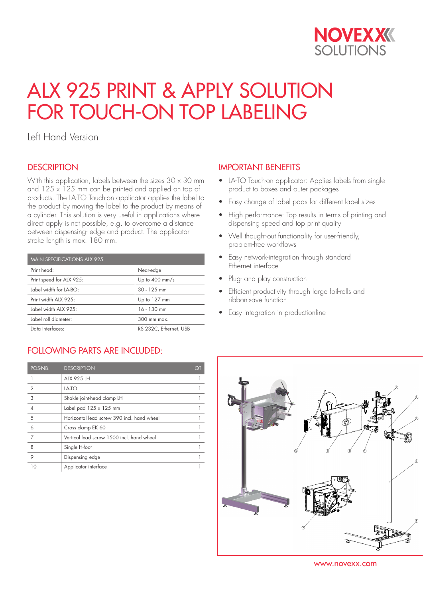

# ALX 925 PRINT & APPLY SOLUTION FOR TOUCH-ON TOP LABELING

Left Hand Version

### **DESCRIPTION**

With this application, labels between the sizes  $30 \times 30$  mm and  $125 \times 125$  mm can be printed and applied on top of products. The LA-TO Touch-on applicator applies the label to the product by moving the label to the product by means of a cylinder. This solution is very useful in applications where direct apply is not possible, e.g. to overcome a distance between dispensing- edge and product. The applicator stroke length is max. 180 mm.

| <b>MAIN SPECIFICATIONS ALX 925</b> |                          |  |
|------------------------------------|--------------------------|--|
| Print head:                        | Near-edge                |  |
| Print speed for ALX 925:           | Up to $400 \text{ mm/s}$ |  |
| Label width for LA-BO:             | $30 - 125$ mm            |  |
| Print width ALX 925:               | Up to 127 mm             |  |
| Label width ALX 925:               | $16 - 130$ mm            |  |
| Label roll diameter:               | 300 mm max.              |  |
| Data Interfaces:                   | RS 232C, Ethernet, USB   |  |

# FOLLOWING PARTS ARE INCLUDED:

| POS-NB.        | <b>DESCRIPTION</b>                         | QT |
|----------------|--------------------------------------------|----|
|                | <b>ALX 925 LH</b>                          |    |
| $\overline{2}$ | LA-TO                                      |    |
| 3              | Shakle joint-head clamp LH                 |    |
|                | Label pad $125 \times 125$ mm              |    |
| 5              | Horizontal lead screw 390 incl. hand wheel |    |
| 6              | Cross clamp EK 60                          |    |
| 7              | Vertical lead screw 1500 incl. hand wheel  |    |
| 8              | Single H-foot                              |    |
| 9              | Dispensing edge                            |    |
| 10             | Applicator interface                       |    |

### IMPORTANT BENEFITS

- LA-TO Touch-on applicator: Applies labels from single product to boxes and outer packages
- Easy change of label pads for different label sizes
- High performance: Top results in terms of printing and dispensing speed and top print quality
- Well thought-out functionality for user-friendly, problem-free workflows
- Easy network-integration through standard Ethernet interface
- Plug- and play construction
- Efficient productivity through large foil-rolls and ribbon-save function
- Easy integration in productionline



www.novexx.com